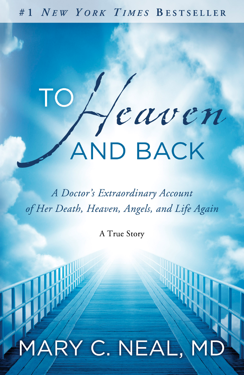## #1 NEW YORK TIMES BESTSELLER

A Doctor's Extraordinary Account of Her Death, Heaven, Angels, and Life Again

Heaven

A True Story

ARY C. NEAL,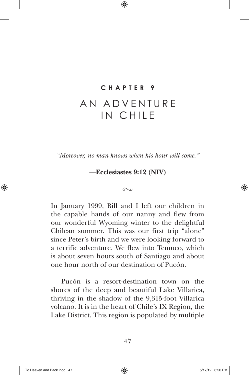## **Chapter 9** AN A D V ENTURE IN CHILF

*"Moreover, no man knows when his hour will come."*

*—***Ecclesiastes 9:12 (NIV)**

 $\infty$ 

In January 1999, Bill and I left our children in the capable hands of our nanny and flew from our wonderful Wyoming winter to the delightful Chilean summer. This was our first trip "alone" since Peter's birth and we were looking forward to a terrific adventure. We flew into Temuco, which is about seven hours south of Santiago and about one hour north of our destination of Pucón.

Pucón is a resort-destination town on the shores of the deep and beautiful Lake Villarica, thriving in the shadow of the 9,315-foot Villarica volcano. It is in the heart of Chile's IX Region, the Lake District. This region is populated by multiple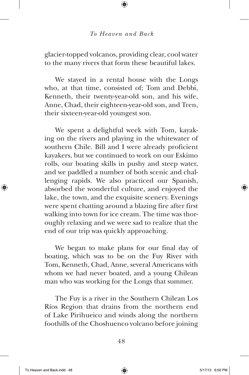glacier-topped volcanos, providing clear, cool water to the many rivers that form these beautiful lakes.

We stayed in a rental house with the Longs who, at that time, consisted of; Tom and Debbi, Kenneth, their twenty-year-old son, and his wife, Anne, Chad, their eighteen-year-old son, and Tren, their sixteen-year-old youngest son.

We spent a delightful week with Tom, kayaking on the rivers and playing in the whitewater of southern Chile. Bill and I were already proficient kayakers, but we continued to work on our Eskimo rolls, our boating skills in pushy and steep water, and we paddled a number of both scenic and challenging rapids. We also practiced our Spanish, absorbed the wonderful culture, and enjoyed the lake, the town, and the exquisite scenery. Evenings were spent chatting around a blazing fire after first walking into town for ice cream. The time was thoroughly relaxing and we were sad to realize that the end of our trip was quickly approaching.

We began to make plans for our final day of boating, which was to be on the Fuy River with Tom, Kenneth, Chad, Anne, several Americans with whom we had never boated, and a young Chilean man who was working for the Longs that summer.

The Fuy is a river in the Southern Chilean Los Ríos Region that drains from the northern end of Lake Pirihueico and winds along the northern foothills of the Choshuenco volcano before joining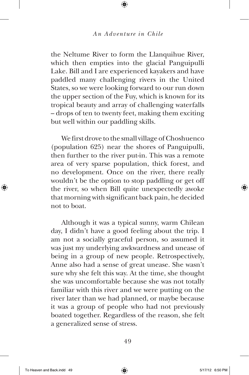the Neltume River to form the Llanquihue River, which then empties into the glacial Panguipulli Lake. Bill and I are experienced kayakers and have paddled many challenging rivers in the United States, so we were looking forward to our run down the upper section of the Fuy, which is known for its tropical beauty and array of challenging waterfalls – drops of ten to twenty feet, making them exciting but well within our paddling skills.

We first drove to the small village of Choshuenco (population 625) near the shores of Panguipulli, then further to the river put-in. This was a remote area of very sparse population, thick forest, and no development. Once on the river, there really wouldn't be the option to stop paddling or get off the river, so when Bill quite unexpectedly awoke that morning with significant back pain, he decided not to boat.

Although it was a typical sunny, warm Chilean day, I didn't have a good feeling about the trip. I am not a socially graceful person, so assumed it was just my underlying awkwardness and unease of being in a group of new people. Retrospectively, Anne also had a sense of great unease. She wasn't sure why she felt this way. At the time, she thought she was uncomfortable because she was not totally familiar with this river and we were putting on the river later than we had planned, or maybe because it was a group of people who had not previously boated together. Regardless of the reason, she felt a generalized sense of stress.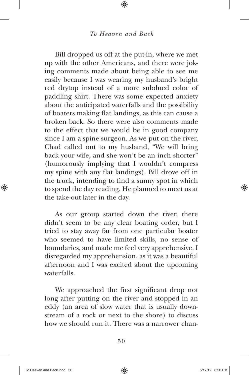Bill dropped us off at the put-in, where we met up with the other Americans, and there were joking comments made about being able to see me easily because I was wearing my husband's bright red drytop instead of a more subdued color of paddling shirt. There was some expected anxiety about the anticipated waterfalls and the possibility of boaters making flat landings, as this can cause a broken back. So there were also comments made to the effect that we would be in good company since I am a spine surgeon. As we put on the river, Chad called out to my husband, "We will bring back your wife, and she won't be an inch shorter" (humorously implying that I wouldn't compress my spine with any flat landings). Bill drove off in the truck, intending to find a sunny spot in which to spend the day reading. He planned to meet us at the take-out later in the day.

As our group started down the river, there didn't seem to be any clear boating order, but I tried to stay away far from one particular boater who seemed to have limited skills, no sense of boundaries, and made me feel very apprehensive. I disregarded my apprehension, as it was a beautiful afternoon and I was excited about the upcoming waterfalls.

We approached the first significant drop not long after putting on the river and stopped in an eddy (an area of slow water that is usually downstream of a rock or next to the shore) to discuss how we should run it. There was a narrower chan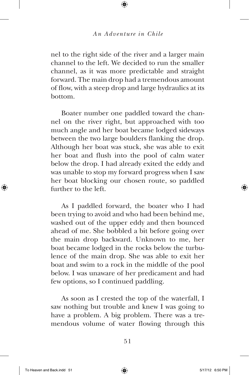nel to the right side of the river and a larger main channel to the left. We decided to run the smaller channel, as it was more predictable and straight forward. The main drop had a tremendous amount of flow, with a steep drop and large hydraulics at its bottom.

Boater number one paddled toward the channel on the river right, but approached with too much angle and her boat became lodged sideways between the two large boulders flanking the drop. Although her boat was stuck, she was able to exit her boat and flush into the pool of calm water below the drop. I had already exited the eddy and was unable to stop my forward progress when I saw her boat blocking our chosen route, so paddled further to the left.

As I paddled forward, the boater who I had been trying to avoid and who had been behind me, washed out of the upper eddy and then bounced ahead of me. She bobbled a bit before going over the main drop backward. Unknown to me, her boat became lodged in the rocks below the turbulence of the main drop. She was able to exit her boat and swim to a rock in the middle of the pool below. I was unaware of her predicament and had few options, so I continued paddling.

As soon as I crested the top of the waterfall, I saw nothing but trouble and knew I was going to have a problem. A big problem. There was a tremendous volume of water flowing through this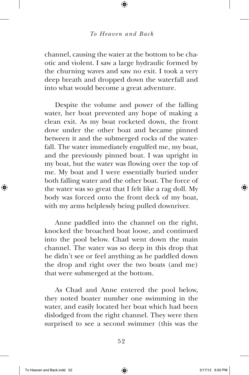channel, causing the water at the bottom to be chaotic and violent. I saw a large hydraulic formed by the churning waves and saw no exit. I took a very deep breath and dropped down the waterfall and into what would become a great adventure.

Despite the volume and power of the falling water, her boat prevented any hope of making a clean exit. As my boat rocketed down, the front dove under the other boat and became pinned between it and the submerged rocks of the waterfall. The water immediately engulfed me, my boat, and the previously pinned boat. I was upright in my boat, but the water was flowing over the top of me. My boat and I were essentially buried under both falling water and the other boat. The force of the water was so great that I felt like a rag doll. My body was forced onto the front deck of my boat, with my arms helplessly being pulled downriver.

Anne paddled into the channel on the right, knocked the broached boat loose, and continued into the pool below. Chad went down the main channel. The water was so deep in this drop that he didn't see or feel anything as he paddled down the drop and right over the two boats (and me) that were submerged at the bottom.

As Chad and Anne entered the pool below, they noted boater number one swimming in the water, and easily located her boat which had been dislodged from the right channel. They were then surprised to see a second swimmer (this was the